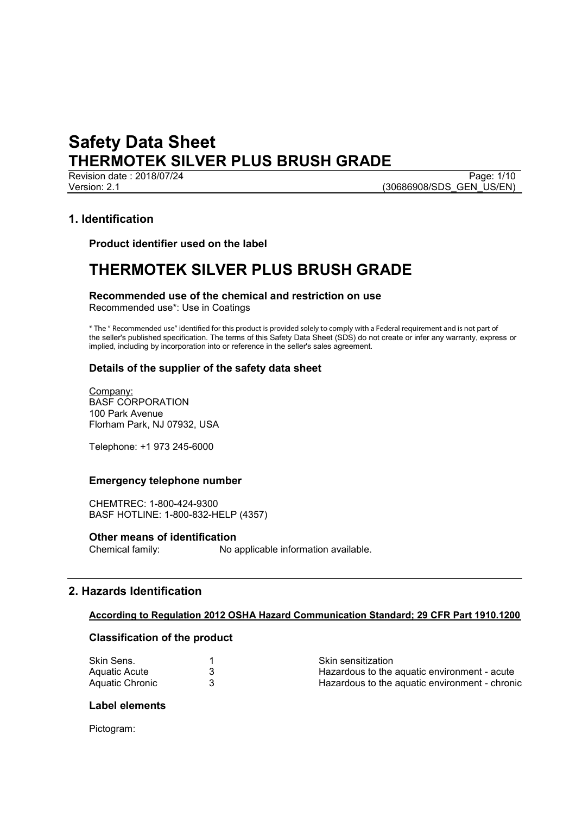Revision date : 2018/07/24 Page: 1/10<br>Version: 2.1 Page: 1/10<br>(30686908/SDS GEN US/EN) (30686908/SDS\_GEN\_US/EN)

## **1. Identification**

**Product identifier used on the label**

# **THERMOTEK SILVER PLUS BRUSH GRADE**

**Recommended use of the chemical and restriction on use** Recommended use\*: Use in Coatings

\* The " Recommended use" identied for this product is provided solely to comply with a Federal requirement and is not part of the seller's published specification. The terms of this Safety Data Sheet (SDS) do not create or infer any warranty, express or implied, including by incorporation into or reference in the seller's sales agreement.

## **Details of the supplier of the safety data sheet**

Company: BASF CORPORATION 100 Park Avenue Florham Park, NJ 07932, USA

Telephone: +1 973 245-6000

## **Emergency telephone number**

CHEMTREC: 1-800-424-9300 BASF HOTLINE: 1-800-832-HELP (4357)

# **Other means of identification**<br>Chemical family: No a

No applicable information available.

## **2. Hazards Identification**

## **According to Regulation 2012 OSHA Hazard Communication Standard; 29 CFR Part 1910.1200**

## **Classification of the product**

| Skin Sens.      | <b>Skin sensitization</b>                      |
|-----------------|------------------------------------------------|
| Aquatic Acute   | Hazardous to the aquatic environment - acute   |
| Aquatic Chronic | Hazardous to the aguatic environment - chronic |

#### **Label elements**

Pictogram: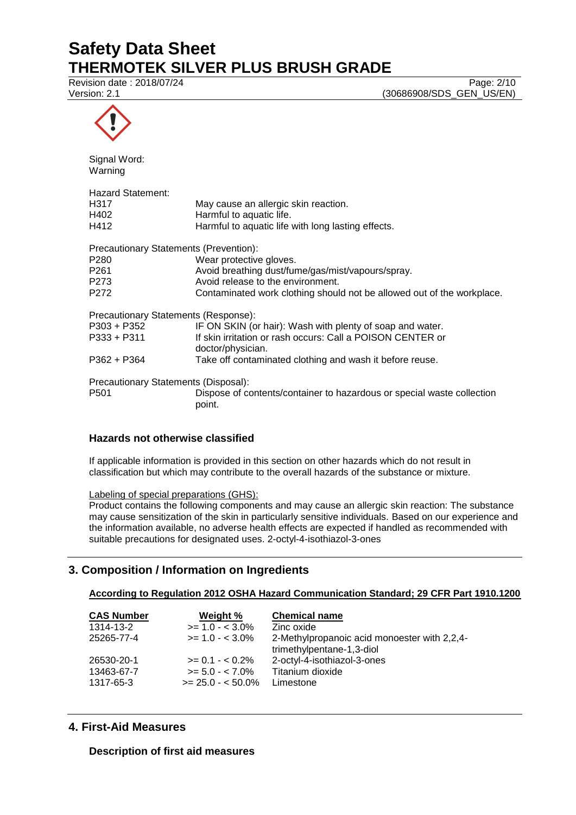Revision date : 2018/07/24 Page: 2/10<br>Version: 2.1 (30686908/SDS\_GEN\_US/EN) (30686908/SDS\_GEN\_US/EN)



| Signal Word:<br>Warning                       |                                                                                  |
|-----------------------------------------------|----------------------------------------------------------------------------------|
| <b>Hazard Statement:</b>                      |                                                                                  |
| H317                                          | May cause an allergic skin reaction.                                             |
| H402                                          | Harmful to aquatic life.                                                         |
| H412                                          | Harmful to aquatic life with long lasting effects.                               |
| <b>Precautionary Statements (Prevention):</b> |                                                                                  |
| P280                                          | Wear protective gloves.                                                          |
| P261                                          | Avoid breathing dust/fume/gas/mist/vapours/spray.                                |
| P273                                          | Avoid release to the environment.                                                |
| P272                                          | Contaminated work clothing should not be allowed out of the workplace.           |
| Precautionary Statements (Response):          |                                                                                  |
| P303 + P352                                   | IF ON SKIN (or hair): Wash with plenty of soap and water.                        |
| P333 + P311                                   | If skin irritation or rash occurs: Call a POISON CENTER or                       |
|                                               | doctor/physician.                                                                |
| P362 + P364                                   | Take off contaminated clothing and wash it before reuse.                         |
| Precautionary Statements (Disposal):          |                                                                                  |
| P501                                          | Dispose of contents/container to hazardous or special waste collection<br>point. |

## **Hazards not otherwise classified**

If applicable information is provided in this section on other hazards which do not result in classification but which may contribute to the overall hazards of the substance or mixture.

Labeling of special preparations (GHS):

Product contains the following components and may cause an allergic skin reaction: The substance may cause sensitization of the skin in particularly sensitive individuals. Based on our experience and the information available, no adverse health effects are expected if handled as recommended with suitable precautions for designated uses. 2-octyl-4-isothiazol-3-ones

## **3. Composition / Information on Ingredients**

## **According to Regulation 2012 OSHA Hazard Communication Standard; 29 CFR Part 1910.1200**

| <b>CAS Number</b> | Weight %           | <b>Chemical name</b>                                                      |
|-------------------|--------------------|---------------------------------------------------------------------------|
| 1314-13-2         | $>= 1.0 - < 3.0\%$ | Zinc oxide                                                                |
| 25265-77-4        | $>= 1.0 - < 3.0\%$ | 2-Methylpropanoic acid monoester with 2,2,4-<br>trimethylpentane-1,3-diol |
| 26530-20-1        | $>= 0.1 - 5.2\%$   | 2-octyl-4-isothiazol-3-ones                                               |
| 13463-67-7        | $>= 5.0 - < 7.0\%$ | Titanium dioxide                                                          |
| 1317-65-3         | $>= 25.0 - 50.0\%$ | Limestone                                                                 |

## **4. First-Aid Measures**

**Description of first aid measures**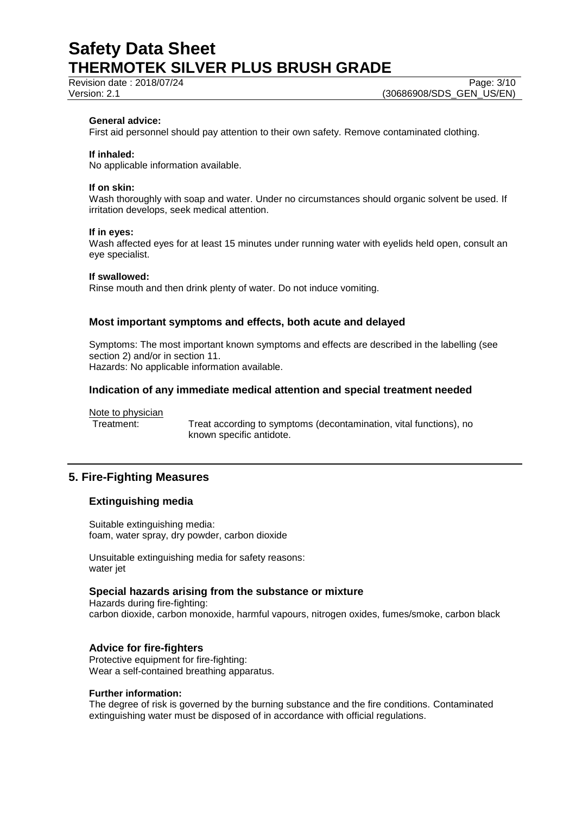Revision date : 2018/07/24 Page: 3/10

### **General advice:**

First aid personnel should pay attention to their own safety. Remove contaminated clothing.

#### **If inhaled:**

No applicable information available.

#### **If on skin:**

Wash thoroughly with soap and water. Under no circumstances should organic solvent be used. If irritation develops, seek medical attention.

#### **If in eyes:**

Wash affected eyes for at least 15 minutes under running water with eyelids held open, consult an eye specialist.

#### **If swallowed:**

Rinse mouth and then drink plenty of water. Do not induce vomiting.

### **Most important symptoms and effects, both acute and delayed**

Symptoms: The most important known symptoms and effects are described in the labelling (see section 2) and/or in section 11. Hazards: No applicable information available.

## **Indication of any immediate medical attention and special treatment needed**

Note to physician

Treatment: Treat according to symptoms (decontamination, vital functions), no known specific antidote.

#### **5. Fire-Fighting Measures**

#### **Extinguishing media**

Suitable extinguishing media: foam, water spray, dry powder, carbon dioxide

Unsuitable extinguishing media for safety reasons: water jet

#### **Special hazards arising from the substance or mixture**

Hazards during fire-fighting: carbon dioxide, carbon monoxide, harmful vapours, nitrogen oxides, fumes/smoke, carbon black

#### **Advice for fire-fighters**

Protective equipment for fire-fighting: Wear a self-contained breathing apparatus.

#### **Further information:**

The degree of risk is governed by the burning substance and the fire conditions. Contaminated extinguishing water must be disposed of in accordance with official regulations.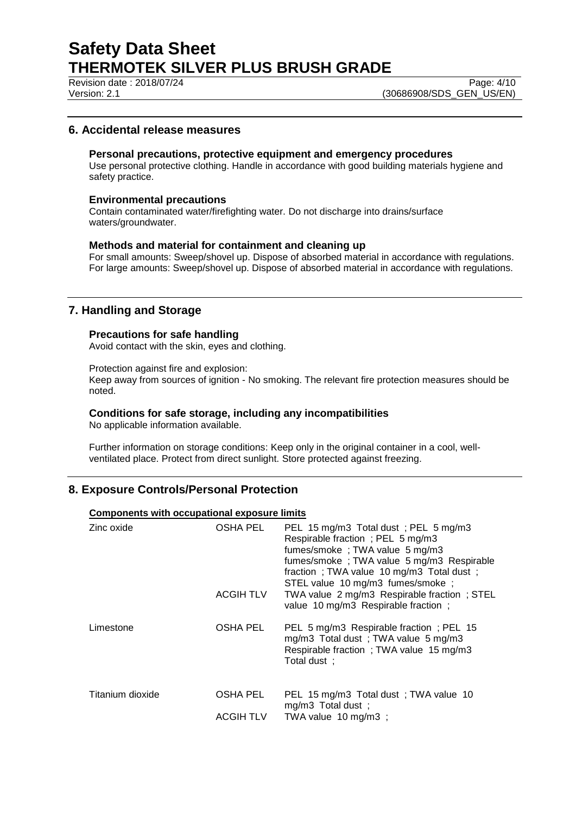Revision date : 2018/07/24 Page: 4/10

Version: 2.1 (30686908/SDS\_GEN\_US/EN)

## **6. Accidental release measures**

#### **Personal precautions, protective equipment and emergency procedures**

Use personal protective clothing. Handle in accordance with good building materials hygiene and safety practice.

### **Environmental precautions**

Contain contaminated water/firefighting water. Do not discharge into drains/surface waters/groundwater.

### **Methods and material for containment and cleaning up**

For small amounts: Sweep/shovel up. Dispose of absorbed material in accordance with regulations. For large amounts: Sweep/shovel up. Dispose of absorbed material in accordance with regulations.

## **7. Handling and Storage**

### **Precautions for safe handling**

Avoid contact with the skin, eyes and clothing.

Protection against fire and explosion:

Keep away from sources of ignition - No smoking. The relevant fire protection measures should be noted.

## **Conditions for safe storage, including any incompatibilities**

No applicable information available.

Further information on storage conditions: Keep only in the original container in a cool, wellventilated place. Protect from direct sunlight. Store protected against freezing.

## **8. Exposure Controls/Personal Protection**

### **Components with occupational exposure limits**

| Zinc oxide       | OSHA PEL<br><b>ACGIHTLV</b>  | PEL 15 mg/m3 Total dust; PEL 5 mg/m3<br>Respirable fraction; PEL 5 mg/m3<br>fumes/smoke; TWA value 5 mg/m3<br>fumes/smoke; TWA value 5 mg/m3 Respirable<br>fraction; TWA value 10 mg/m3 Total dust;<br>STEL value 10 mg/m3 fumes/smoke;<br>TWA value 2 mg/m3 Respirable fraction; STEL<br>value 10 mg/m3 Respirable fraction; |
|------------------|------------------------------|-------------------------------------------------------------------------------------------------------------------------------------------------------------------------------------------------------------------------------------------------------------------------------------------------------------------------------|
| Limestone        | OSHA PEL                     | PEL 5 mg/m3 Respirable fraction; PEL 15<br>mg/m3 Total dust; TWA value 5 mg/m3<br>Respirable fraction; TWA value 15 mg/m3<br>Total dust ;                                                                                                                                                                                     |
| Titanium dioxide | OSHA PEL<br><b>ACGIH TLV</b> | PEL 15 mg/m3 Total dust; TWA value 10<br>mg/m3 Total dust;<br>TWA value 10 mg/m3 ;                                                                                                                                                                                                                                            |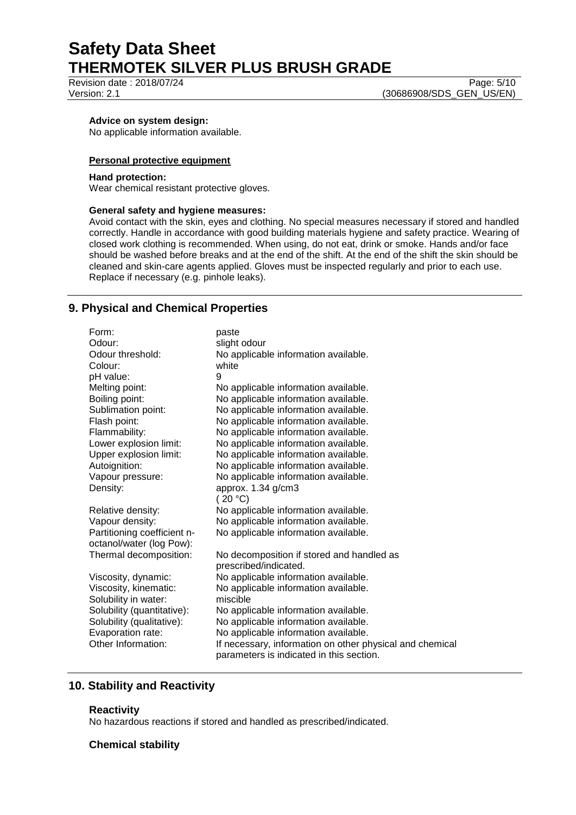Revision date : 2018/07/24 Page: 5/10

Version: 2.1 (30686908/SDS\_GEN\_US/EN)

### **Advice on system design:**

No applicable information available.

#### **Personal protective equipment**

#### **Hand protection:**

Wear chemical resistant protective gloves.

#### **General safety and hygiene measures:**

Avoid contact with the skin, eyes and clothing. No special measures necessary if stored and handled correctly. Handle in accordance with good building materials hygiene and safety practice. Wearing of closed work clothing is recommended. When using, do not eat, drink or smoke. Hands and/or face should be washed before breaks and at the end of the shift. At the end of the shift the skin should be cleaned and skin-care agents applied. Gloves must be inspected regularly and prior to each use. Replace if necessary (e.g. pinhole leaks).

## **9. Physical and Chemical Properties**

| Form:                       | paste                                                    |
|-----------------------------|----------------------------------------------------------|
| Odour:                      | slight odour                                             |
| Odour threshold:            | No applicable information available.                     |
| Colour:                     | white                                                    |
| pH value:                   | 9                                                        |
| Melting point:              | No applicable information available.                     |
| Boiling point:              | No applicable information available.                     |
| Sublimation point:          | No applicable information available.                     |
| Flash point:                | No applicable information available.                     |
| Flammability:               | No applicable information available.                     |
| Lower explosion limit:      | No applicable information available.                     |
| Upper explosion limit:      | No applicable information available.                     |
| Autoignition:               | No applicable information available.                     |
| Vapour pressure:            | No applicable information available.                     |
| Density:                    | approx. 1.34 g/cm3                                       |
|                             | (20 °C)                                                  |
| Relative density:           | No applicable information available.                     |
| Vapour density:             | No applicable information available.                     |
| Partitioning coefficient n- | No applicable information available.                     |
| octanol/water (log Pow):    |                                                          |
| Thermal decomposition:      | No decomposition if stored and handled as                |
|                             | prescribed/indicated.                                    |
| Viscosity, dynamic:         | No applicable information available.                     |
| Viscosity, kinematic:       | No applicable information available.                     |
| Solubility in water:        | miscible                                                 |
| Solubility (quantitative):  | No applicable information available.                     |
| Solubility (qualitative):   | No applicable information available.                     |
| Evaporation rate:           | No applicable information available.                     |
| Other Information:          | If necessary, information on other physical and chemical |
|                             | parameters is indicated in this section.                 |

## **10. Stability and Reactivity**

#### **Reactivity**

No hazardous reactions if stored and handled as prescribed/indicated.

#### **Chemical stability**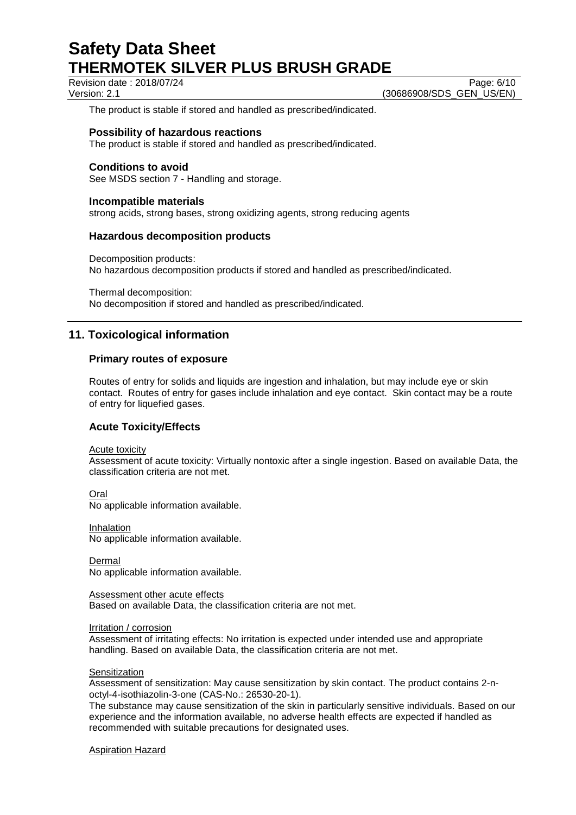Revision date : 2018/07/24 Page: 6/10

Version: 2.1 (30686908/SDS\_GEN\_US/EN)

The product is stable if stored and handled as prescribed/indicated.

### **Possibility of hazardous reactions**

The product is stable if stored and handled as prescribed/indicated.

## **Conditions to avoid**

See MSDS section 7 - Handling and storage.

#### **Incompatible materials**

strong acids, strong bases, strong oxidizing agents, strong reducing agents

#### **Hazardous decomposition products**

Decomposition products: No hazardous decomposition products if stored and handled as prescribed/indicated.

Thermal decomposition: No decomposition if stored and handled as prescribed/indicated.

## **11. Toxicological information**

### **Primary routes of exposure**

Routes of entry for solids and liquids are ingestion and inhalation, but may include eye or skin contact. Routes of entry for gases include inhalation and eye contact. Skin contact may be a route of entry for liquefied gases.

## **Acute Toxicity/Effects**

Acute toxicity

Assessment of acute toxicity: Virtually nontoxic after a single ingestion. Based on available Data, the classification criteria are not met.

Oral No applicable information available.

Inhalation No applicable information available.

Dermal No applicable information available.

Assessment other acute effects Based on available Data, the classification criteria are not met.

Irritation / corrosion

Assessment of irritating effects: No irritation is expected under intended use and appropriate handling. Based on available Data, the classification criteria are not met.

#### **Sensitization**

Assessment of sensitization: May cause sensitization by skin contact. The product contains 2-noctyl-4-isothiazolin-3-one (CAS-No.: 26530-20-1).

The substance may cause sensitization of the skin in particularly sensitive individuals. Based on our experience and the information available, no adverse health effects are expected if handled as recommended with suitable precautions for designated uses.

#### Aspiration Hazard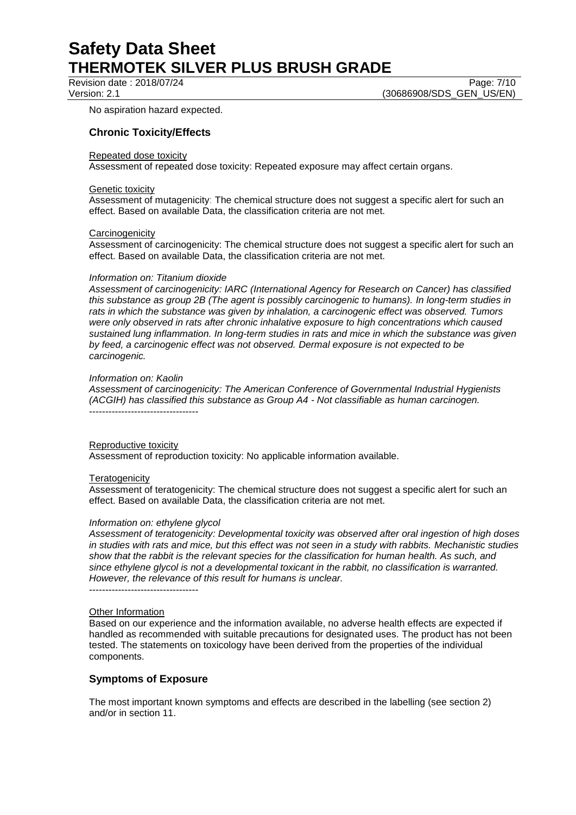Revision date : 2018/07/24 Page: 7/10

Version: 2.1 (30686908/SDS\_GEN\_US/EN)

No aspiration hazard expected.

## **Chronic Toxicity/Effects**

#### Repeated dose toxicity

Assessment of repeated dose toxicity: Repeated exposure may affect certain organs.

#### Genetic toxicity

Assessment of mutagenicity: The chemical structure does not suggest a specific alert for such an effect. Based on available Data, the classification criteria are not met.

#### **Carcinogenicity**

Assessment of carcinogenicity: The chemical structure does not suggest a specific alert for such an effect. Based on available Data, the classification criteria are not met.

#### *Information on: Titanium dioxide*

*Assessment of carcinogenicity: IARC (International Agency for Research on Cancer) has classified this substance as group 2B (The agent is possibly carcinogenic to humans). In long-term studies in rats in which the substance was given by inhalation, a carcinogenic effect was observed. Tumors were only observed in rats after chronic inhalative exposure to high concentrations which caused sustained lung inflammation. In long-term studies in rats and mice in which the substance was given by feed, a carcinogenic effect was not observed. Dermal exposure is not expected to be carcinogenic.*

#### *Information on: Kaolin*

*Assessment of carcinogenicity: The American Conference of Governmental Industrial Hygienists (ACGIH) has classified this substance as Group A4 - Not classifiable as human carcinogen.* ----------------------------------

#### Reproductive toxicity

Assessment of reproduction toxicity: No applicable information available.

#### **Teratogenicity**

Assessment of teratogenicity: The chemical structure does not suggest a specific alert for such an effect. Based on available Data, the classification criteria are not met.

#### *Information on: ethylene glycol*

*Assessment of teratogenicity: Developmental toxicity was observed after oral ingestion of high doses in studies with rats and mice, but this effect was not seen in a study with rabbits. Mechanistic studies show that the rabbit is the relevant species for the classification for human health. As such, and since ethylene glycol is not a developmental toxicant in the rabbit, no classification is warranted. However, the relevance of this result for humans is unclear.*

----------------------------------

#### Other Information

Based on our experience and the information available, no adverse health effects are expected if handled as recommended with suitable precautions for designated uses. The product has not been tested. The statements on toxicology have been derived from the properties of the individual components.

## **Symptoms of Exposure**

The most important known symptoms and effects are described in the labelling (see section 2) and/or in section 11.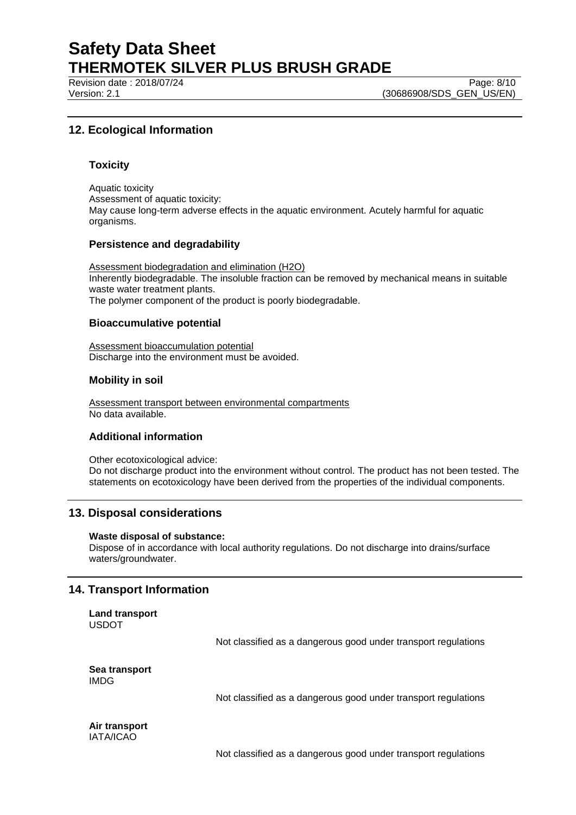Revision date : 2018/07/24 Page: 8/10

Version: 2.1 (30686908/SDS\_GEN\_US/EN)

## **12. Ecological Information**

### **Toxicity**

Aquatic toxicity Assessment of aquatic toxicity: May cause long-term adverse effects in the aquatic environment. Acutely harmful for aquatic organisms.

#### **Persistence and degradability**

Assessment biodegradation and elimination (H2O) Inherently biodegradable. The insoluble fraction can be removed by mechanical means in suitable waste water treatment plants. The polymer component of the product is poorly biodegradable.

### **Bioaccumulative potential**

Assessment bioaccumulation potential Discharge into the environment must be avoided.

## **Mobility in soil**

Assessment transport between environmental compartments No data available.

## **Additional information**

Other ecotoxicological advice: Do not discharge product into the environment without control. The product has not been tested. The statements on ecotoxicology have been derived from the properties of the individual components.

## **13. Disposal considerations**

**Waste disposal of substance:** Dispose of in accordance with local authority regulations. Do not discharge into drains/surface waters/groundwater.

## **14. Transport Information**

| Land transport |
|----------------|
| USDOT          |

Not classified as a dangerous good under transport regulations

**Sea transport** IMDG

Not classified as a dangerous good under transport regulations

**Air transport** IATA/ICAO

Not classified as a dangerous good under transport regulations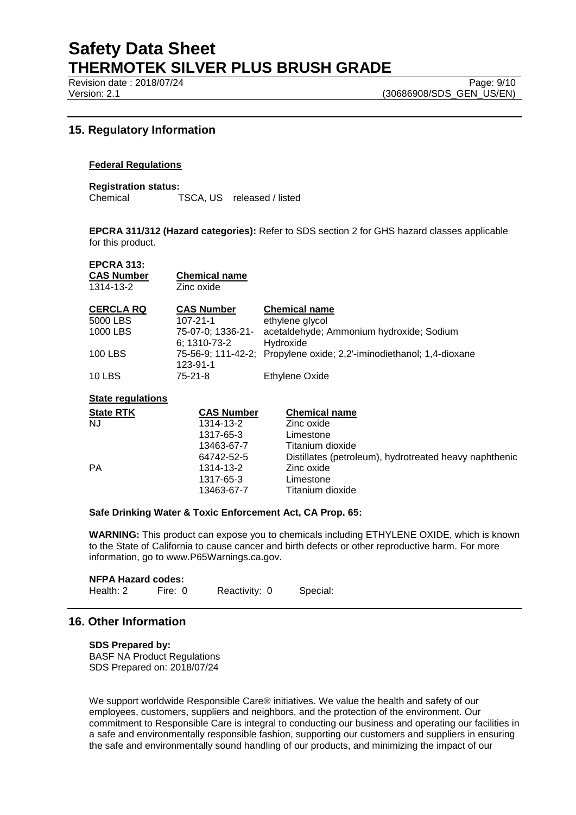Revision date : 2018/07/24 Page: 9/10

## **15. Regulatory Information**

### **Federal Regulations**

**Registration status:** Chemical TSCA, US released / listed

**EPCRA 311/312 (Hazard categories):** Refer to SDS section 2 for GHS hazard classes applicable for this product.

### **EPCRA 313:**

| <b>CAS Number</b> | <b>Chemical name</b> |
|-------------------|----------------------|
| 1314-13-2         | Zinc oxide           |

| <b>CERCLA RQ</b> | <b>CAS Number</b> | <b>Chemical name</b>                                                 |
|------------------|-------------------|----------------------------------------------------------------------|
| 5000 LBS         | $107 - 21 - 1$    | ethylene glycol                                                      |
| 1000 LBS         | 75-07-0; 1336-21- | acetaldehyde; Ammonium hydroxide; Sodium                             |
|                  | 6: 1310-73-2      | Hydroxide                                                            |
| 100 LBS          |                   | 75-56-9; 111-42-2; Propylene oxide; 2,2'-iminodiethanol; 1,4-dioxane |
|                  | 123-91-1          |                                                                      |
| <b>10 LBS</b>    | 75-21-8           | Ethylene Oxide                                                       |

#### **State regulations**

| <b>State RTK</b> | <b>CAS Number</b> | <b>Chemical name</b>                                   |
|------------------|-------------------|--------------------------------------------------------|
| <b>NJ</b>        | 1314-13-2         | Zinc oxide                                             |
|                  | 1317-65-3         | Limestone                                              |
|                  | 13463-67-7        | Titanium dioxide                                       |
|                  | 64742-52-5        | Distillates (petroleum), hydrotreated heavy naphthenic |
| PA               | 1314-13-2         | Zinc oxide                                             |
|                  | 1317-65-3         | Limestone                                              |
|                  | 13463-67-7        | Titanium dioxide                                       |
|                  |                   |                                                        |

#### **Safe Drinking Water & Toxic Enforcement Act, CA Prop. 65:**

**WARNING:** This product can expose you to chemicals including ETHYLENE OXIDE, which is known to the State of California to cause cancer and birth defects or other reproductive harm. For more information, go to www.P65Warnings.ca.gov.

# **NFPA Hazard codes:**<br>Health: 2 Fire: 0

Fire: 0 Reactivity: 0 Special:

## **16. Other Information**

## **SDS Prepared by:**

BASF NA Product Regulations SDS Prepared on: 2018/07/24

We support worldwide Responsible Care® initiatives. We value the health and safety of our employees, customers, suppliers and neighbors, and the protection of the environment. Our commitment to Responsible Care is integral to conducting our business and operating our facilities in a safe and environmentally responsible fashion, supporting our customers and suppliers in ensuring the safe and environmentally sound handling of our products, and minimizing the impact of our